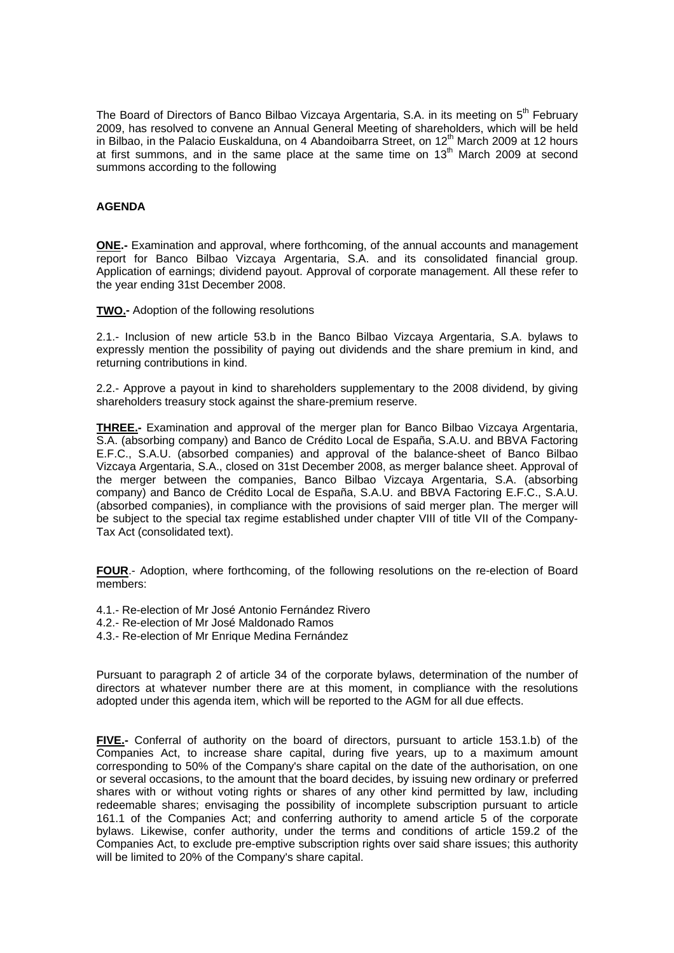The Board of Directors of Banco Bilbao Vizcaya Argentaria, S.A. in its meeting on 5<sup>th</sup> February 2009, has resolved to convene an Annual General Meeting of shareholders, which will be held in Bilbao, in the Palacio Euskalduna, on 4 Abandoibarra Street, on  $12<sup>th</sup>$  March 2009 at 12 hours at first summons, and in the same place at the same time on  $13<sup>th</sup>$  March 2009 at second summons according to the following

## **AGENDA**

**ONE.-** Examination and approval, where forthcoming, of the annual accounts and management report for Banco Bilbao Vizcaya Argentaria, S.A. and its consolidated financial group. Application of earnings; dividend payout. Approval of corporate management. All these refer to the year ending 31st December 2008.

**TWO.-** Adoption of the following resolutions

2.1.- Inclusion of new article 53.b in the Banco Bilbao Vizcaya Argentaria, S.A. bylaws to expressly mention the possibility of paying out dividends and the share premium in kind, and returning contributions in kind.

2.2.- Approve a payout in kind to shareholders supplementary to the 2008 dividend, by giving shareholders treasury stock against the share-premium reserve.

**THREE.-** Examination and approval of the merger plan for Banco Bilbao Vizcaya Argentaria, S.A. (absorbing company) and Banco de Crédito Local de España, S.A.U. and BBVA Factoring E.F.C., S.A.U. (absorbed companies) and approval of the balance-sheet of Banco Bilbao Vizcaya Argentaria, S.A., closed on 31st December 2008, as merger balance sheet. Approval of the merger between the companies, Banco Bilbao Vizcaya Argentaria, S.A. (absorbing company) and Banco de Crédito Local de España, S.A.U. and BBVA Factoring E.F.C., S.A.U. (absorbed companies), in compliance with the provisions of said merger plan. The merger will be subject to the special tax regime established under chapter VIII of title VII of the Company-Tax Act (consolidated text).

**FOUR**.- Adoption, where forthcoming, of the following resolutions on the re-election of Board members:

- 4.1.- Re-election of Mr José Antonio Fernández Rivero
- 4.2.- Re-election of Mr José Maldonado Ramos
- 4.3.- Re-election of Mr Enrique Medina Fernández

Pursuant to paragraph 2 of article 34 of the corporate bylaws, determination of the number of directors at whatever number there are at this moment, in compliance with the resolutions adopted under this agenda item, which will be reported to the AGM for all due effects.

**FIVE.-** Conferral of authority on the board of directors, pursuant to article 153.1.b) of the Companies Act, to increase share capital, during five years, up to a maximum amount corresponding to 50% of the Company's share capital on the date of the authorisation, on one or several occasions, to the amount that the board decides, by issuing new ordinary or preferred shares with or without voting rights or shares of any other kind permitted by law, including redeemable shares; envisaging the possibility of incomplete subscription pursuant to article 161.1 of the Companies Act; and conferring authority to amend article 5 of the corporate bylaws. Likewise, confer authority, under the terms and conditions of article 159.2 of the Companies Act, to exclude pre-emptive subscription rights over said share issues; this authority will be limited to 20% of the Company's share capital.